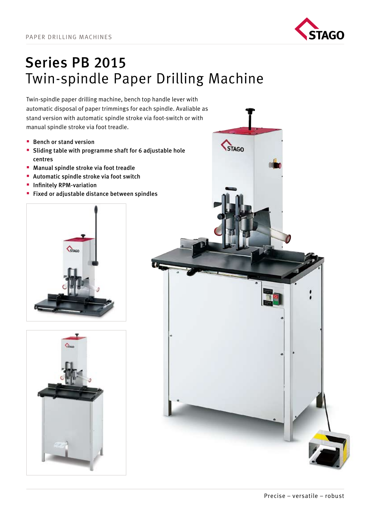

## Series PB 2015 Twin-spindle Paper Drilling Machine

Twin-spindle paper drilling machine, bench top handle lever with automatic disposal of paper trimmings for each spindle. Avaliable as stand version with automatic spindle stroke via foot-switch or with manual spindle stroke via foot treadle.

- $\blacksquare$  Bench or stand version
- Sliding table with programme shaft for 6 adjustable hole centres
- **Manual spindle stroke via foot treadle**
- **Automatic spindle stroke via foot switch**
- **Infinitely RPM-variation**
- **Fixed or adjustable distance between spindles**